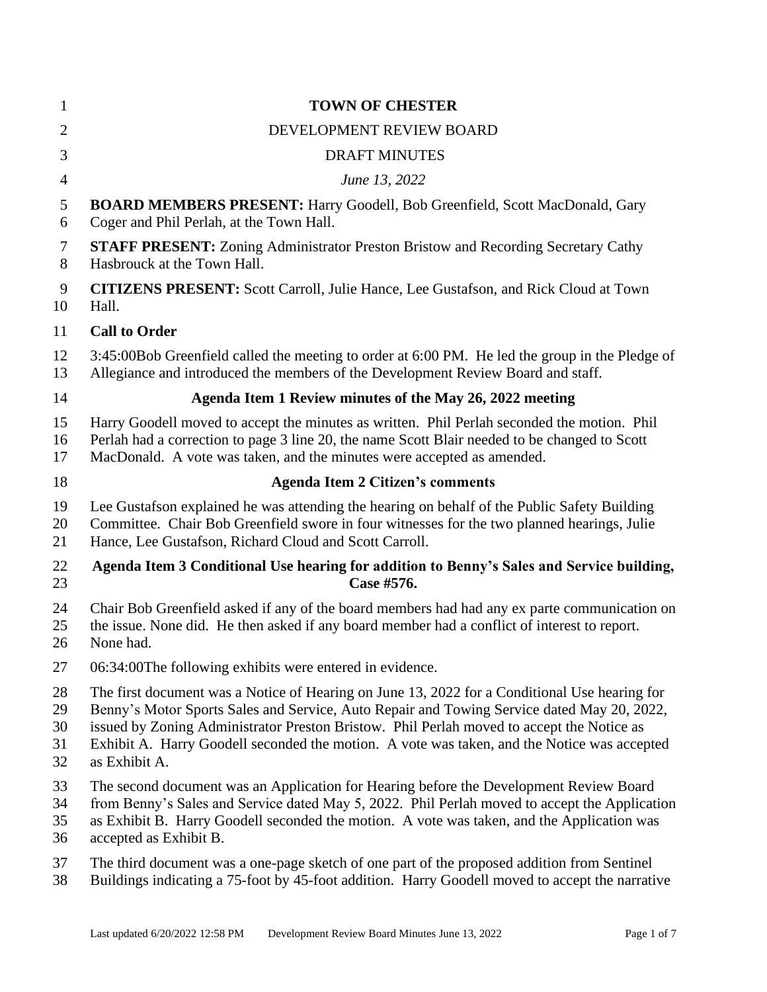| $\mathbf{1}$   | <b>TOWN OF CHESTER</b>                                                                          |
|----------------|-------------------------------------------------------------------------------------------------|
| $\overline{2}$ | DEVELOPMENT REVIEW BOARD                                                                        |
| 3              | <b>DRAFT MINUTES</b>                                                                            |
| $\overline{4}$ | June 13, 2022                                                                                   |
| 5              | <b>BOARD MEMBERS PRESENT:</b> Harry Goodell, Bob Greenfield, Scott MacDonald, Gary              |
| 6              | Coger and Phil Perlah, at the Town Hall.                                                        |
| 7              | <b>STAFF PRESENT:</b> Zoning Administrator Preston Bristow and Recording Secretary Cathy        |
| 8              | Hasbrouck at the Town Hall.                                                                     |
| 9              | <b>CITIZENS PRESENT:</b> Scott Carroll, Julie Hance, Lee Gustafson, and Rick Cloud at Town      |
| 10             | Hall.                                                                                           |
| 11             | <b>Call to Order</b>                                                                            |
| 12             | 3:45:00Bob Greenfield called the meeting to order at 6:00 PM. He led the group in the Pledge of |
| 13             | Allegiance and introduced the members of the Development Review Board and staff.                |
| 14             | Agenda Item 1 Review minutes of the May 26, 2022 meeting                                        |
| 15             | Harry Goodell moved to accept the minutes as written. Phil Perlah seconded the motion. Phil     |
| 16             | Perlah had a correction to page 3 line 20, the name Scott Blair needed to be changed to Scott   |
| 17             | MacDonald. A vote was taken, and the minutes were accepted as amended.                          |
| 18             | <b>Agenda Item 2 Citizen's comments</b>                                                         |
| 19             | Lee Gustafson explained he was attending the hearing on behalf of the Public Safety Building    |
| 20             | Committee. Chair Bob Greenfield swore in four witnesses for the two planned hearings, Julie     |
| 21             | Hance, Lee Gustafson, Richard Cloud and Scott Carroll.                                          |
| 22             | Agenda Item 3 Conditional Use hearing for addition to Benny's Sales and Service building,       |
| 23             | Case #576.                                                                                      |
| 24             | Chair Bob Greenfield asked if any of the board members had had any ex parte communication on    |
| 25             | the issue. None did. He then asked if any board member had a conflict of interest to report.    |
| 26             | None had.                                                                                       |
| 27             | 06:34:00The following exhibits were entered in evidence.                                        |
| 28             | The first document was a Notice of Hearing on June 13, 2022 for a Conditional Use hearing for   |
| 29             | Benny's Motor Sports Sales and Service, Auto Repair and Towing Service dated May 20, 2022,      |
| 30             | issued by Zoning Administrator Preston Bristow. Phil Perlah moved to accept the Notice as       |
| 31             | Exhibit A. Harry Goodell seconded the motion. A vote was taken, and the Notice was accepted     |
| 32             | as Exhibit A.                                                                                   |
| 33             | The second document was an Application for Hearing before the Development Review Board          |
| 34             | from Benny's Sales and Service dated May 5, 2022. Phil Perlah moved to accept the Application   |
| 35             | as Exhibit B. Harry Goodell seconded the motion. A vote was taken, and the Application was      |
| 36             | accepted as Exhibit B.                                                                          |
| 37             | The third document was a one-page sketch of one part of the proposed addition from Sentinel     |
| 38             | Buildings indicating a 75-foot by 45-foot addition. Harry Goodell moved to accept the narrative |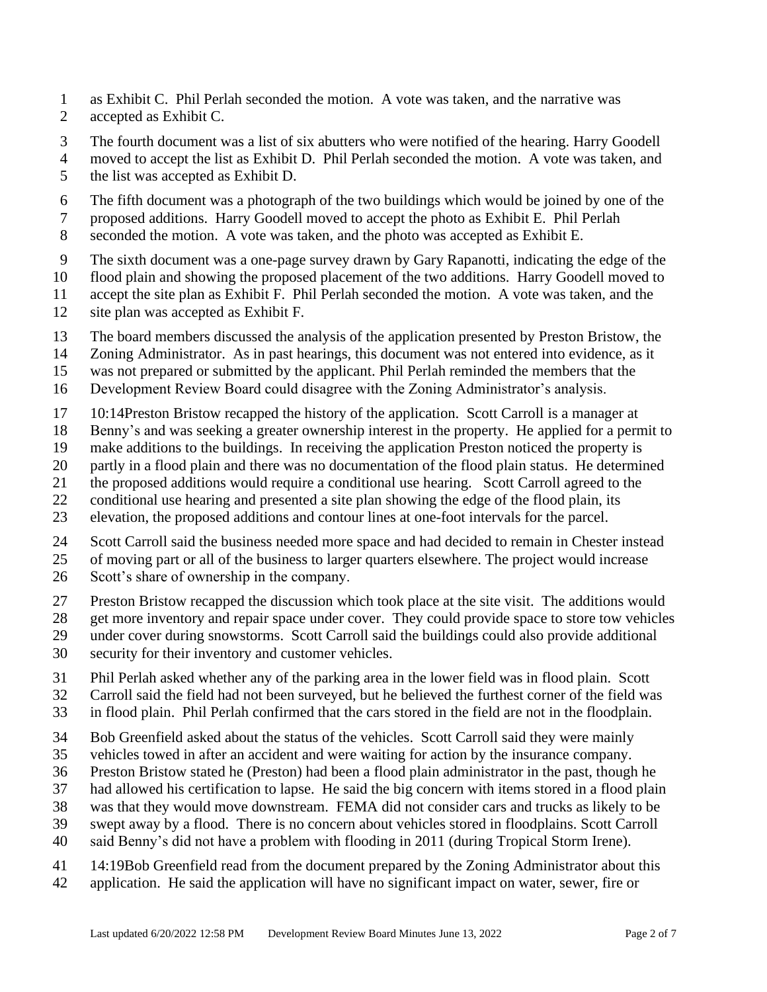- as Exhibit C. Phil Perlah seconded the motion. A vote was taken, and the narrative was
- accepted as Exhibit C.
- The fourth document was a list of six abutters who were notified of the hearing. Harry Goodell
- moved to accept the list as Exhibit D. Phil Perlah seconded the motion. A vote was taken, and
- the list was accepted as Exhibit D.
- The fifth document was a photograph of the two buildings which would be joined by one of the
- proposed additions. Harry Goodell moved to accept the photo as Exhibit E. Phil Perlah
- seconded the motion. A vote was taken, and the photo was accepted as Exhibit E.
- The sixth document was a one-page survey drawn by Gary Rapanotti, indicating the edge of the
- flood plain and showing the proposed placement of the two additions. Harry Goodell moved to
- accept the site plan as Exhibit F. Phil Perlah seconded the motion. A vote was taken, and the
- site plan was accepted as Exhibit F.
- The board members discussed the analysis of the application presented by Preston Bristow, the
- Zoning Administrator. As in past hearings, this document was not entered into evidence, as it
- was not prepared or submitted by the applicant. Phil Perlah reminded the members that the
- Development Review Board could disagree with the Zoning Administrator's analysis.
- 10:14Preston Bristow recapped the history of the application. Scott Carroll is a manager at
- Benny's and was seeking a greater ownership interest in the property. He applied for a permit to
- make additions to the buildings. In receiving the application Preston noticed the property is
- partly in a flood plain and there was no documentation of the flood plain status. He determined
- the proposed additions would require a conditional use hearing. Scott Carroll agreed to the
- conditional use hearing and presented a site plan showing the edge of the flood plain, its
- elevation, the proposed additions and contour lines at one-foot intervals for the parcel.
- Scott Carroll said the business needed more space and had decided to remain in Chester instead
- of moving part or all of the business to larger quarters elsewhere. The project would increase
- Scott's share of ownership in the company.
- Preston Bristow recapped the discussion which took place at the site visit. The additions would
- get more inventory and repair space under cover. They could provide space to store tow vehicles
- under cover during snowstorms. Scott Carroll said the buildings could also provide additional
- security for their inventory and customer vehicles.
- Phil Perlah asked whether any of the parking area in the lower field was in flood plain. Scott
- Carroll said the field had not been surveyed, but he believed the furthest corner of the field was
- in flood plain. Phil Perlah confirmed that the cars stored in the field are not in the floodplain.
- Bob Greenfield asked about the status of the vehicles. Scott Carroll said they were mainly
- vehicles towed in after an accident and were waiting for action by the insurance company.
- Preston Bristow stated he (Preston) had been a flood plain administrator in the past, though he
- had allowed his certification to lapse. He said the big concern with items stored in a flood plain
- was that they would move downstream. FEMA did not consider cars and trucks as likely to be
- swept away by a flood. There is no concern about vehicles stored in floodplains. Scott Carroll
- said Benny's did not have a problem with flooding in 2011 (during Tropical Storm Irene).
- 14:19Bob Greenfield read from the document prepared by the Zoning Administrator about this
- application. He said the application will have no significant impact on water, sewer, fire or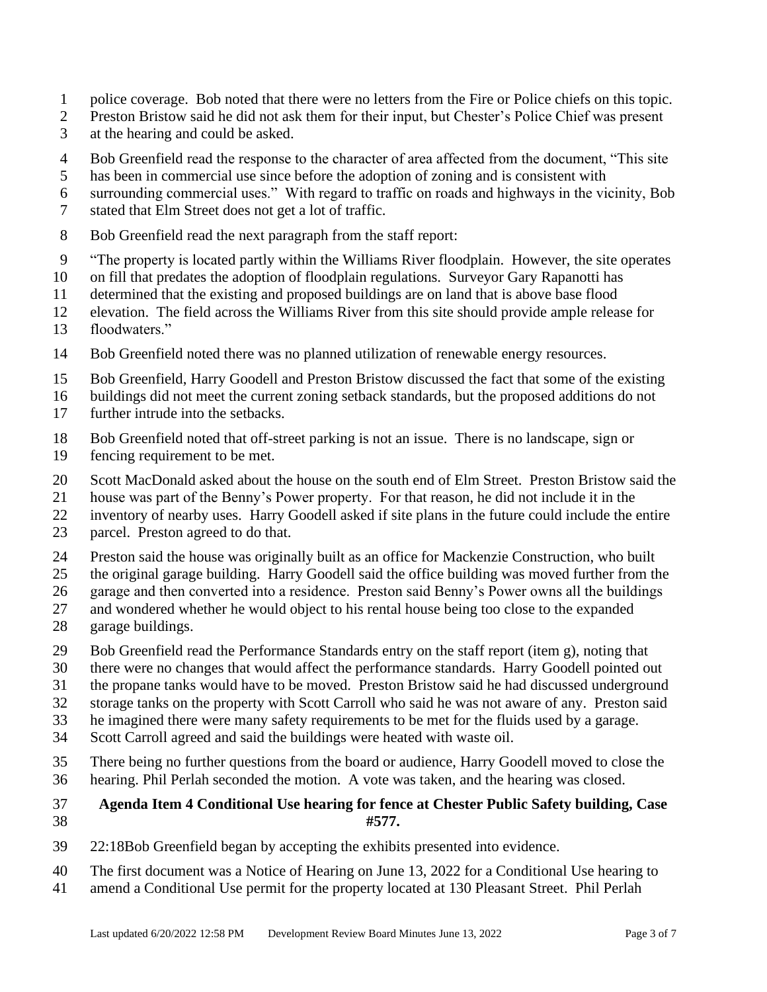- police coverage. Bob noted that there were no letters from the Fire or Police chiefs on this topic.
- Preston Bristow said he did not ask them for their input, but Chester's Police Chief was present
- at the hearing and could be asked.
- Bob Greenfield read the response to the character of area affected from the document, "This site
- has been in commercial use since before the adoption of zoning and is consistent with
- surrounding commercial uses." With regard to traffic on roads and highways in the vicinity, Bob
- stated that Elm Street does not get a lot of traffic.
- Bob Greenfield read the next paragraph from the staff report:
- "The property is located partly within the Williams River floodplain. However, the site operates
- on fill that predates the adoption of floodplain regulations. Surveyor Gary Rapanotti has
- determined that the existing and proposed buildings are on land that is above base flood
- elevation. The field across the Williams River from this site should provide ample release for
- floodwaters."
- Bob Greenfield noted there was no planned utilization of renewable energy resources.
- Bob Greenfield, Harry Goodell and Preston Bristow discussed the fact that some of the existing
- buildings did not meet the current zoning setback standards, but the proposed additions do not
- further intrude into the setbacks.
- Bob Greenfield noted that off-street parking is not an issue. There is no landscape, sign or fencing requirement to be met.
- Scott MacDonald asked about the house on the south end of Elm Street. Preston Bristow said the
- house was part of the Benny's Power property. For that reason, he did not include it in the
- inventory of nearby uses. Harry Goodell asked if site plans in the future could include the entire
- parcel. Preston agreed to do that.
- Preston said the house was originally built as an office for Mackenzie Construction, who built
- the original garage building. Harry Goodell said the office building was moved further from the
- garage and then converted into a residence. Preston said Benny's Power owns all the buildings
- and wondered whether he would object to his rental house being too close to the expanded
- garage buildings.
- Bob Greenfield read the Performance Standards entry on the staff report (item g), noting that
- there were no changes that would affect the performance standards. Harry Goodell pointed out
- the propane tanks would have to be moved. Preston Bristow said he had discussed underground
- storage tanks on the property with Scott Carroll who said he was not aware of any. Preston said
- he imagined there were many safety requirements to be met for the fluids used by a garage.
- Scott Carroll agreed and said the buildings were heated with waste oil.
- There being no further questions from the board or audience, Harry Goodell moved to close the hearing. Phil Perlah seconded the motion. A vote was taken, and the hearing was closed.

## **Agenda Item 4 Conditional Use hearing for fence at Chester Public Safety building, Case #577.**

- 22:18Bob Greenfield began by accepting the exhibits presented into evidence.
- The first document was a Notice of Hearing on June 13, 2022 for a Conditional Use hearing to
- amend a Conditional Use permit for the property located at 130 Pleasant Street. Phil Perlah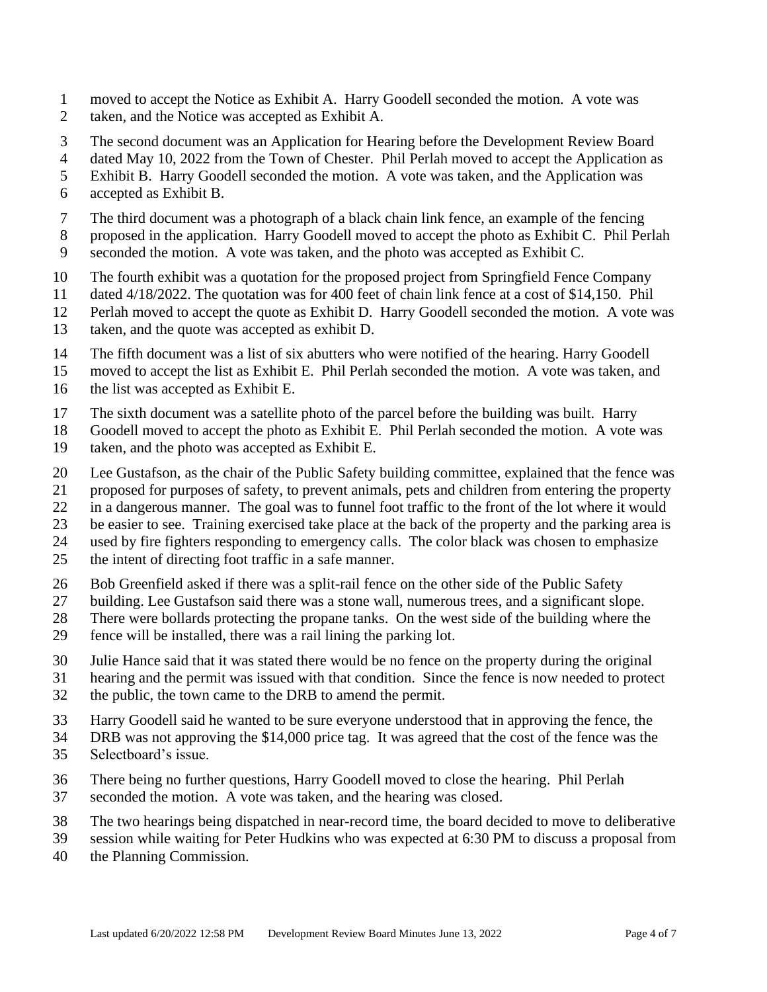- moved to accept the Notice as Exhibit A. Harry Goodell seconded the motion. A vote was
- taken, and the Notice was accepted as Exhibit A.
- The second document was an Application for Hearing before the Development Review Board
- dated May 10, 2022 from the Town of Chester. Phil Perlah moved to accept the Application as
- Exhibit B. Harry Goodell seconded the motion. A vote was taken, and the Application was
- accepted as Exhibit B.
- The third document was a photograph of a black chain link fence, an example of the fencing
- proposed in the application. Harry Goodell moved to accept the photo as Exhibit C. Phil Perlah
- seconded the motion. A vote was taken, and the photo was accepted as Exhibit C.
- The fourth exhibit was a quotation for the proposed project from Springfield Fence Company
- dated 4/18/2022. The quotation was for 400 feet of chain link fence at a cost of \$14,150. Phil
- Perlah moved to accept the quote as Exhibit D. Harry Goodell seconded the motion. A vote was
- taken, and the quote was accepted as exhibit D.
- The fifth document was a list of six abutters who were notified of the hearing. Harry Goodell
- moved to accept the list as Exhibit E. Phil Perlah seconded the motion. A vote was taken, and
- the list was accepted as Exhibit E.
- The sixth document was a satellite photo of the parcel before the building was built. Harry
- Goodell moved to accept the photo as Exhibit E. Phil Perlah seconded the motion. A vote was taken, and the photo was accepted as Exhibit E.
- Lee Gustafson, as the chair of the Public Safety building committee, explained that the fence was
- proposed for purposes of safety, to prevent animals, pets and children from entering the property
- in a dangerous manner. The goal was to funnel foot traffic to the front of the lot where it would
- be easier to see. Training exercised take place at the back of the property and the parking area is
- used by fire fighters responding to emergency calls. The color black was chosen to emphasize
- the intent of directing foot traffic in a safe manner.
- Bob Greenfield asked if there was a split-rail fence on the other side of the Public Safety
- building. Lee Gustafson said there was a stone wall, numerous trees, and a significant slope.
- There were bollards protecting the propane tanks. On the west side of the building where the
- fence will be installed, there was a rail lining the parking lot.
- Julie Hance said that it was stated there would be no fence on the property during the original
- hearing and the permit was issued with that condition. Since the fence is now needed to protect the public, the town came to the DRB to amend the permit.
- 
- Harry Goodell said he wanted to be sure everyone understood that in approving the fence, the
- DRB was not approving the \$14,000 price tag. It was agreed that the cost of the fence was the
- Selectboard's issue.
- There being no further questions, Harry Goodell moved to close the hearing. Phil Perlah seconded the motion. A vote was taken, and the hearing was closed.
- The two hearings being dispatched in near-record time, the board decided to move to deliberative
- session while waiting for Peter Hudkins who was expected at 6:30 PM to discuss a proposal from
- the Planning Commission.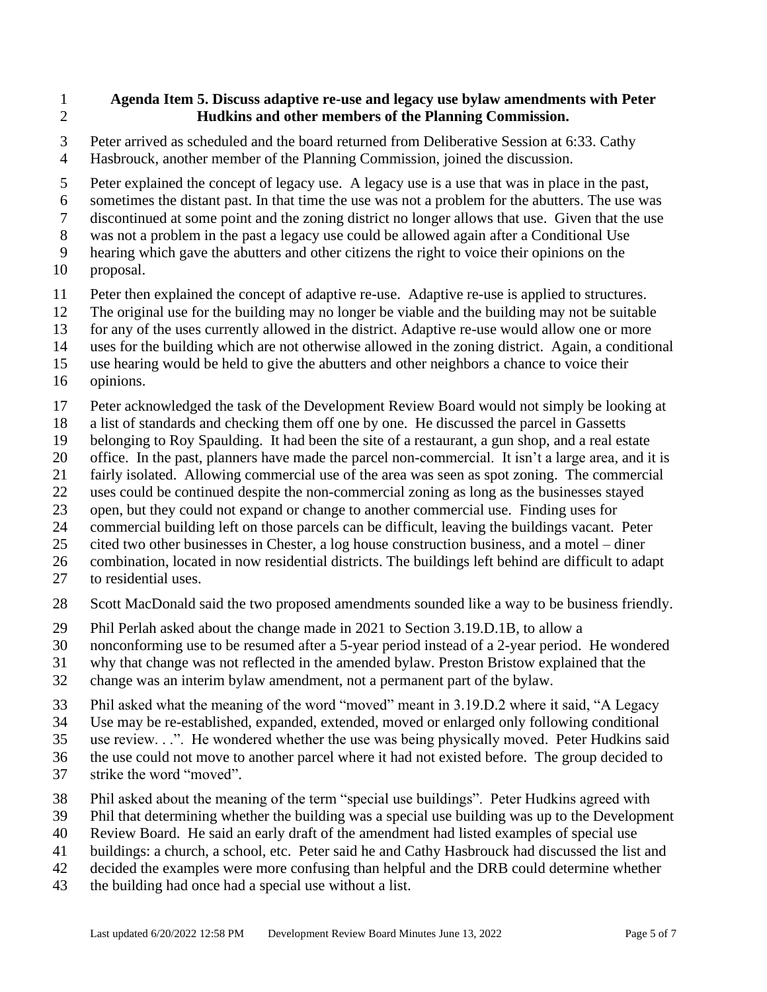## **Agenda Item 5. Discuss adaptive re-use and legacy use bylaw amendments with Peter Hudkins and other members of the Planning Commission.**

- Peter arrived as scheduled and the board returned from Deliberative Session at 6:33. Cathy Hasbrouck, another member of the Planning Commission, joined the discussion.
- Peter explained the concept of legacy use. A legacy use is a use that was in place in the past,
- sometimes the distant past. In that time the use was not a problem for the abutters. The use was
- discontinued at some point and the zoning district no longer allows that use. Given that the use
- was not a problem in the past a legacy use could be allowed again after a Conditional Use
- hearing which gave the abutters and other citizens the right to voice their opinions on the
- proposal.
- Peter then explained the concept of adaptive re-use. Adaptive re-use is applied to structures.
- The original use for the building may no longer be viable and the building may not be suitable
- for any of the uses currently allowed in the district. Adaptive re-use would allow one or more
- uses for the building which are not otherwise allowed in the zoning district. Again, a conditional
- use hearing would be held to give the abutters and other neighbors a chance to voice their
- opinions.
- Peter acknowledged the task of the Development Review Board would not simply be looking at
- a list of standards and checking them off one by one. He discussed the parcel in Gassetts
- belonging to Roy Spaulding. It had been the site of a restaurant, a gun shop, and a real estate
- office. In the past, planners have made the parcel non-commercial. It isn't a large area, and it is
- fairly isolated. Allowing commercial use of the area was seen as spot zoning. The commercial
- uses could be continued despite the non-commercial zoning as long as the businesses stayed
- open, but they could not expand or change to another commercial use. Finding uses for
- commercial building left on those parcels can be difficult, leaving the buildings vacant. Peter
- cited two other businesses in Chester, a log house construction business, and a motel diner
- combination, located in now residential districts. The buildings left behind are difficult to adapt
- to residential uses.
- Scott MacDonald said the two proposed amendments sounded like a way to be business friendly.
- Phil Perlah asked about the change made in 2021 to Section 3.19.D.1B, to allow a
- nonconforming use to be resumed after a 5-year period instead of a 2-year period. He wondered
- why that change was not reflected in the amended bylaw. Preston Bristow explained that the
- change was an interim bylaw amendment, not a permanent part of the bylaw.
- Phil asked what the meaning of the word "moved" meant in 3.19.D.2 where it said, "A Legacy
- Use may be re-established, expanded, extended, moved or enlarged only following conditional
- use review. . .". He wondered whether the use was being physically moved. Peter Hudkins said
- the use could not move to another parcel where it had not existed before. The group decided to
- strike the word "moved".
- Phil asked about the meaning of the term "special use buildings". Peter Hudkins agreed with
- Phil that determining whether the building was a special use building was up to the Development
- Review Board. He said an early draft of the amendment had listed examples of special use
- buildings: a church, a school, etc. Peter said he and Cathy Hasbrouck had discussed the list and
- decided the examples were more confusing than helpful and the DRB could determine whether
- the building had once had a special use without a list.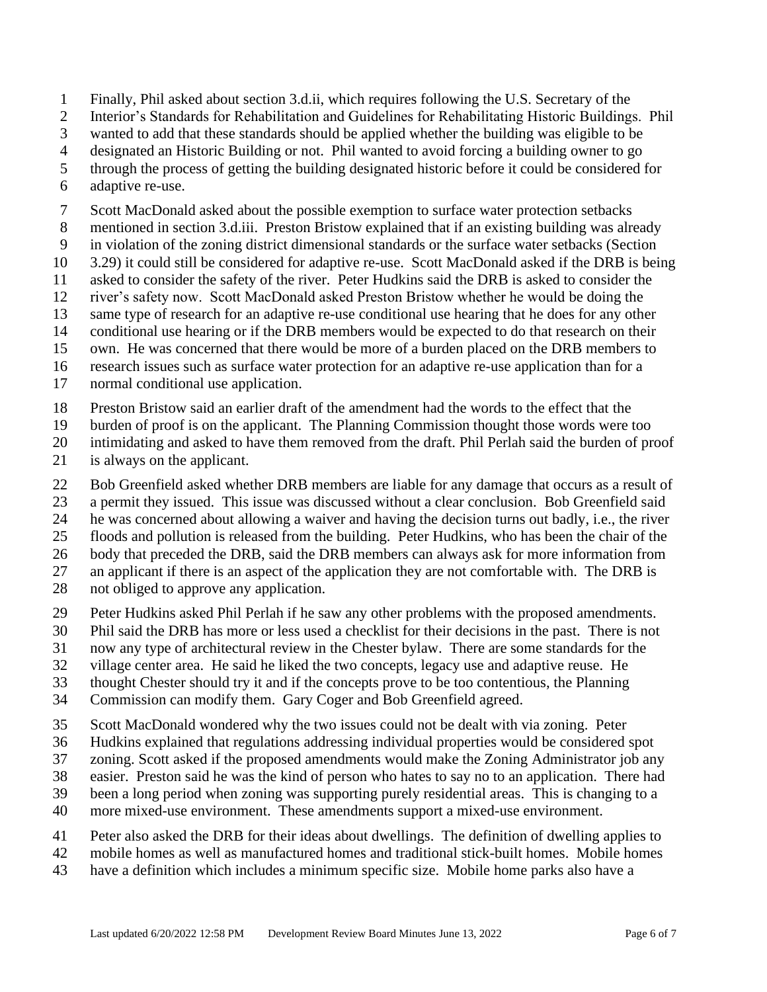- Finally, Phil asked about section 3.d.ii, which requires following the U.S. Secretary of the
- Interior's Standards for Rehabilitation and Guidelines for Rehabilitating Historic Buildings. Phil
- wanted to add that these standards should be applied whether the building was eligible to be
- designated an Historic Building or not. Phil wanted to avoid forcing a building owner to go
- through the process of getting the building designated historic before it could be considered for
- adaptive re-use.
- Scott MacDonald asked about the possible exemption to surface water protection setbacks
- mentioned in section 3.d.iii. Preston Bristow explained that if an existing building was already
- in violation of the zoning district dimensional standards or the surface water setbacks (Section
- 3.29) it could still be considered for adaptive re-use. Scott MacDonald asked if the DRB is being
- asked to consider the safety of the river. Peter Hudkins said the DRB is asked to consider the
- river's safety now. Scott MacDonald asked Preston Bristow whether he would be doing the
- same type of research for an adaptive re-use conditional use hearing that he does for any other
- conditional use hearing or if the DRB members would be expected to do that research on their
- own. He was concerned that there would be more of a burden placed on the DRB members to
- research issues such as surface water protection for an adaptive re-use application than for a
- normal conditional use application.
- Preston Bristow said an earlier draft of the amendment had the words to the effect that the
- burden of proof is on the applicant. The Planning Commission thought those words were too
- intimidating and asked to have them removed from the draft. Phil Perlah said the burden of proof
- is always on the applicant.
- Bob Greenfield asked whether DRB members are liable for any damage that occurs as a result of
- a permit they issued. This issue was discussed without a clear conclusion. Bob Greenfield said
- he was concerned about allowing a waiver and having the decision turns out badly, i.e., the river
- floods and pollution is released from the building. Peter Hudkins, who has been the chair of the
- body that preceded the DRB, said the DRB members can always ask for more information from
- an applicant if there is an aspect of the application they are not comfortable with. The DRB is
- not obliged to approve any application.
- Peter Hudkins asked Phil Perlah if he saw any other problems with the proposed amendments.
- Phil said the DRB has more or less used a checklist for their decisions in the past. There is not
- now any type of architectural review in the Chester bylaw. There are some standards for the
- village center area. He said he liked the two concepts, legacy use and adaptive reuse. He
- thought Chester should try it and if the concepts prove to be too contentious, the Planning
- Commission can modify them. Gary Coger and Bob Greenfield agreed.
- Scott MacDonald wondered why the two issues could not be dealt with via zoning. Peter
- Hudkins explained that regulations addressing individual properties would be considered spot
- zoning. Scott asked if the proposed amendments would make the Zoning Administrator job any
- easier. Preston said he was the kind of person who hates to say no to an application. There had
- been a long period when zoning was supporting purely residential areas. This is changing to a
- more mixed-use environment. These amendments support a mixed-use environment.
- Peter also asked the DRB for their ideas about dwellings. The definition of dwelling applies to
- mobile homes as well as manufactured homes and traditional stick-built homes. Mobile homes
- have a definition which includes a minimum specific size. Mobile home parks also have a